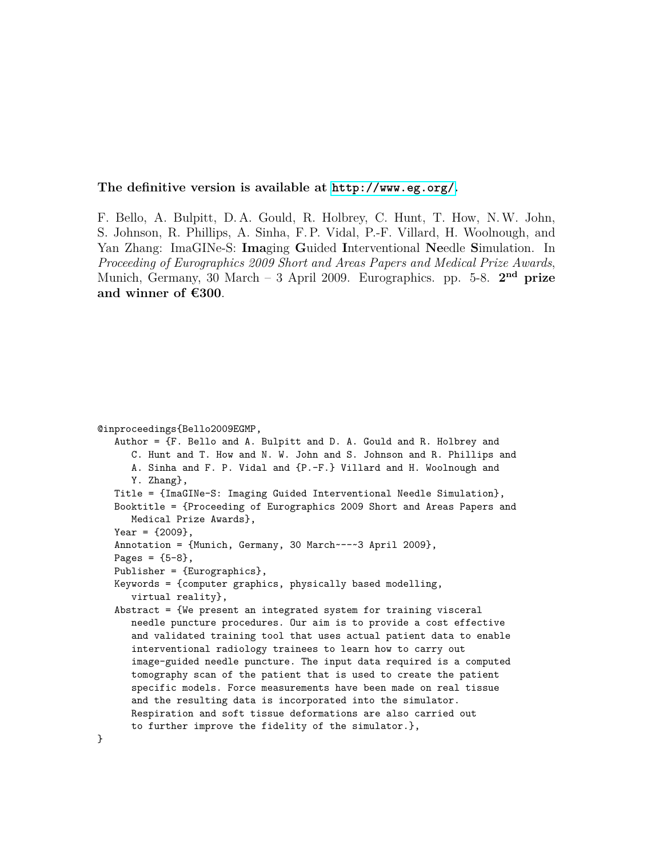**The definitive version is available at <http://www.eg.org/>.**

F. Bello, A. Bulpitt, D. A. Gould, R. Holbrey, C. Hunt, T. How, N.W. John, S. Johnson, R. Phillips, A. Sinha, F. P. Vidal, P.-F. Villard, H. Woolnough, and Yan Zhang: ImaGINe-S: **Ima**ging **G**uided **I**nterventional **Ne**edle **S**imulation. In *Proceeding of Eurographics 2009 Short and Areas Papers and Medical Prize Awards*, Munich, Germany, 30 March – 3 April 2009. Eurographics. pp. 5-8. 2<sup>nd</sup> prize **and winner of €300**.

```
@inproceedings{Bello2009EGMP,
   Author = {F. Bello and A. Bulpitt and D. A. Gould and R. Holbrey and
     C. Hunt and T. How and N. W. John and S. Johnson and R. Phillips and
     A. Sinha and F. P. Vidal and {P.-F.} Villard and H. Woolnough and
     Y. Zhang},
  Title = {ImaGINe-S: Imaging Guided Interventional Needle Simulation},
  Booktitle = {Proceeding of Eurographics 2009 Short and Areas Papers and
     Medical Prize Awards},
  Year = {2009},
  Annotation = {Munich, Germany, 30 March~--~3 April 2009},
  Pages = {5-8},
  Publisher = {Eurographics},
  Keywords = {computer graphics, physically based modelling,
     virtual reality},
   Abstract = {We present an integrated system for training visceral
     needle puncture procedures. Our aim is to provide a cost effective
     and validated training tool that uses actual patient data to enable
     interventional radiology trainees to learn how to carry out
     image-guided needle puncture. The input data required is a computed
     tomography scan of the patient that is used to create the patient
     specific models. Force measurements have been made on real tissue
     and the resulting data is incorporated into the simulator.
     Respiration and soft tissue deformations are also carried out
     to further improve the fidelity of the simulator.},
}
```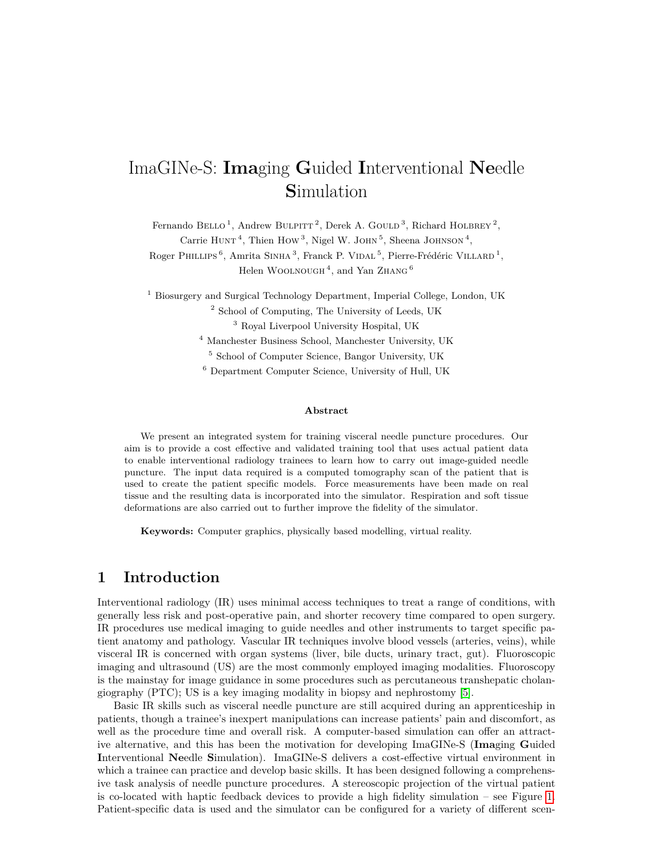# ImaGINe-S: **Ima**ging **G**uided **I**nterventional **Ne**edle **S**imulation

Fernando BELLO<sup>1</sup>, Andrew BULPITT<sup>2</sup>, Derek A. GOULD<sup>3</sup>, Richard HOLBREY<sup>2</sup>, Carrie HUNT<sup>4</sup>, Thien HOW<sup>3</sup>, Nigel W. JOHN<sup>5</sup>, Sheena JOHNSON<sup>4</sup>, Roger PHILLIPS<sup>6</sup>, Amrita SINHA<sup>3</sup>, Franck P. VIDAL<sup>5</sup>, Pierre-Frédéric VILLARD<sup>1</sup>, Helen WOOLNOUGH<sup>4</sup>, and Yan ZHANG<sup>6</sup>

<sup>1</sup> Biosurgery and Surgical Technology Department, Imperial College, London, UK <sup>2</sup> School of Computing, The University of Leeds, UK <sup>3</sup> Royal Liverpool University Hospital, UK

<sup>4</sup> Manchester Business School, Manchester University, UK

<sup>5</sup> School of Computer Science, Bangor University, UK

<sup>6</sup> Department Computer Science, University of Hull, UK

#### **Abstract**

We present an integrated system for training visceral needle puncture procedures. Our aim is to provide a cost effective and validated training tool that uses actual patient data to enable interventional radiology trainees to learn how to carry out image-guided needle puncture. The input data required is a computed tomography scan of the patient that is used to create the patient specific models. Force measurements have been made on real tissue and the resulting data is incorporated into the simulator. Respiration and soft tissue deformations are also carried out to further improve the fidelity of the simulator.

**Keywords:** Computer graphics, physically based modelling, virtual reality.

## **1 Introduction**

Interventional radiology (IR) uses minimal access techniques to treat a range of conditions, with generally less risk and post-operative pain, and shorter recovery time compared to open surgery. IR procedures use medical imaging to guide needles and other instruments to target specific patient anatomy and pathology. Vascular IR techniques involve blood vessels (arteries, veins), while visceral IR is concerned with organ systems (liver, bile ducts, urinary tract, gut). Fluoroscopic imaging and ultrasound (US) are the most commonly employed imaging modalities. Fluoroscopy is the mainstay for image guidance in some procedures such as percutaneous transhepatic cholangiography (PTC); US is a key imaging modality in biopsy and nephrostomy [\[5\]](#page-7-0).

Basic IR skills such as visceral needle puncture are still acquired during an apprenticeship in patients, though a trainee's inexpert manipulations can increase patients' pain and discomfort, as well as the procedure time and overall risk. A computer-based simulation can offer an attractive alternative, and this has been the motivation for developing ImaGINe-S (**Ima**ging **G**uided **I**nterventional **Ne**edle **S**imulation). ImaGINe-S delivers a cost-effective virtual environment in which a trainee can practice and develop basic skills. It has been designed following a comprehensive task analysis of needle puncture procedures. A stereoscopic projection of the virtual patient is co-located with haptic feedback devices to provide a high fidelity simulation – see Figure [1.](#page-2-0) Patient-specific data is used and the simulator can be configured for a variety of different scen-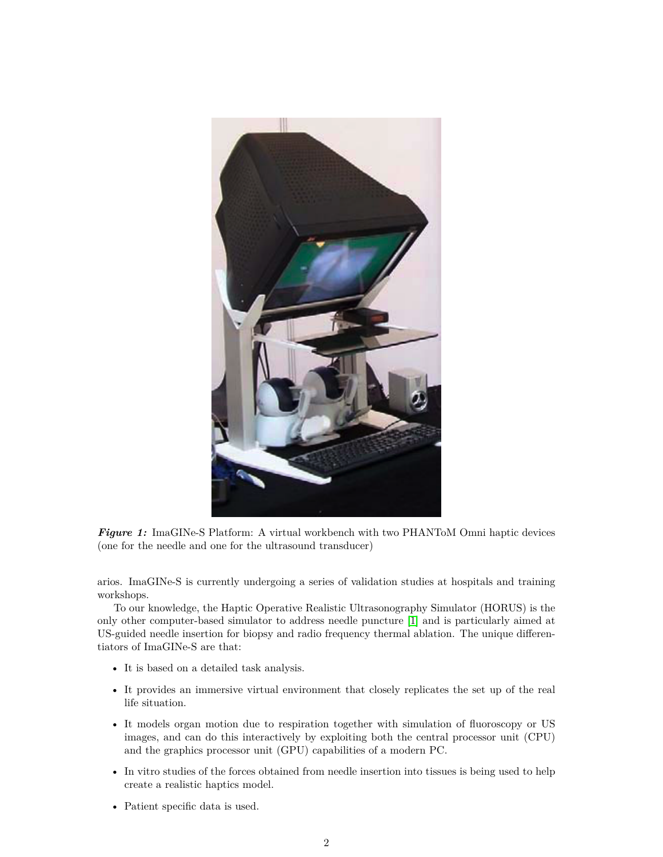<span id="page-2-0"></span>

*Figure 1:* ImaGINe-S Platform: A virtual workbench with two PHANToM Omni haptic devices (one for the needle and one for the ultrasound transducer)

arios. ImaGINe-S is currently undergoing a series of validation studies at hospitals and training workshops.

To our knowledge, the Haptic Operative Realistic Ultrasonography Simulator (HORUS) is the only other computer-based simulator to address needle puncture [\[1\]](#page-7-1) and is particularly aimed at US-guided needle insertion for biopsy and radio frequency thermal ablation. The unique differentiators of ImaGINe-S are that:

- It is based on a detailed task analysis.
- It provides an immersive virtual environment that closely replicates the set up of the real life situation.
- It models organ motion due to respiration together with simulation of fluoroscopy or US images, and can do this interactively by exploiting both the central processor unit (CPU) and the graphics processor unit (GPU) capabilities of a modern PC.
- In vitro studies of the forces obtained from needle insertion into tissues is being used to help create a realistic haptics model.
- Patient specific data is used.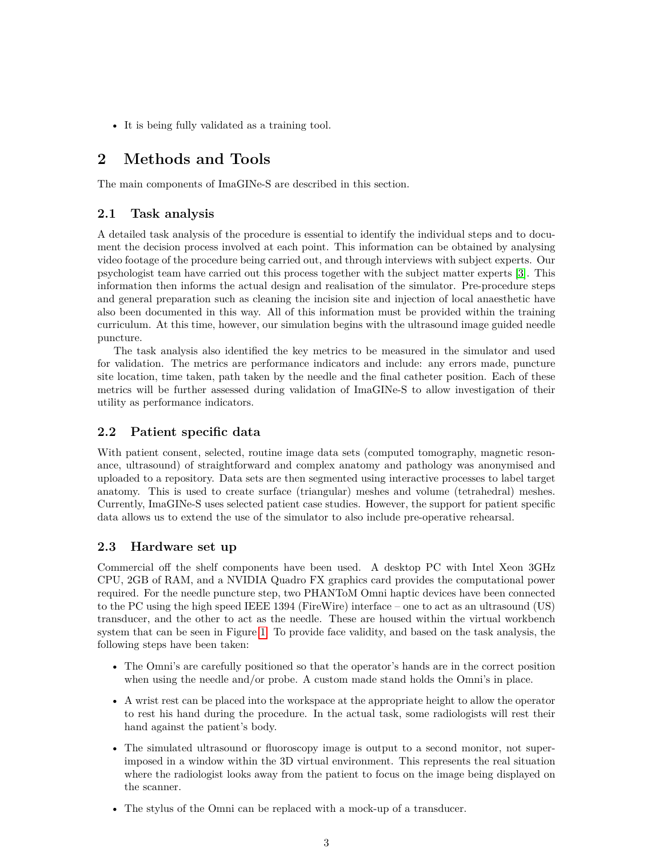• It is being fully validated as a training tool.

## **2 Methods and Tools**

The main components of ImaGINe-S are described in this section.

#### **2.1 Task analysis**

A detailed task analysis of the procedure is essential to identify the individual steps and to document the decision process involved at each point. This information can be obtained by analysing video footage of the procedure being carried out, and through interviews with subject experts. Our psychologist team have carried out this process together with the subject matter experts [\[3\]](#page-7-2). This information then informs the actual design and realisation of the simulator. Pre-procedure steps and general preparation such as cleaning the incision site and injection of local anaesthetic have also been documented in this way. All of this information must be provided within the training curriculum. At this time, however, our simulation begins with the ultrasound image guided needle puncture.

The task analysis also identified the key metrics to be measured in the simulator and used for validation. The metrics are performance indicators and include: any errors made, puncture site location, time taken, path taken by the needle and the final catheter position. Each of these metrics will be further assessed during validation of ImaGINe-S to allow investigation of their utility as performance indicators.

### **2.2 Patient specific data**

With patient consent, selected, routine image data sets (computed tomography, magnetic resonance, ultrasound) of straightforward and complex anatomy and pathology was anonymised and uploaded to a repository. Data sets are then segmented using interactive processes to label target anatomy. This is used to create surface (triangular) meshes and volume (tetrahedral) meshes. Currently, ImaGINe-S uses selected patient case studies. However, the support for patient specific data allows us to extend the use of the simulator to also include pre-operative rehearsal.

#### **2.3 Hardware set up**

Commercial off the shelf components have been used. A desktop PC with Intel Xeon 3GHz CPU, 2GB of RAM, and a NVIDIA Quadro FX graphics card provides the computational power required. For the needle puncture step, two PHANToM Omni haptic devices have been connected to the PC using the high speed IEEE 1394 (FireWire) interface – one to act as an ultrasound (US) transducer, and the other to act as the needle. These are housed within the virtual workbench system that can be seen in Figure [1.](#page-2-0) To provide face validity, and based on the task analysis, the following steps have been taken:

- The Omni's are carefully positioned so that the operator's hands are in the correct position when using the needle and/or probe. A custom made stand holds the Omni's in place.
- A wrist rest can be placed into the workspace at the appropriate height to allow the operator to rest his hand during the procedure. In the actual task, some radiologists will rest their hand against the patient's body.
- The simulated ultrasound or fluoroscopy image is output to a second monitor, not superimposed in a window within the 3D virtual environment. This represents the real situation where the radiologist looks away from the patient to focus on the image being displayed on the scanner.
- The stylus of the Omni can be replaced with a mock-up of a transducer.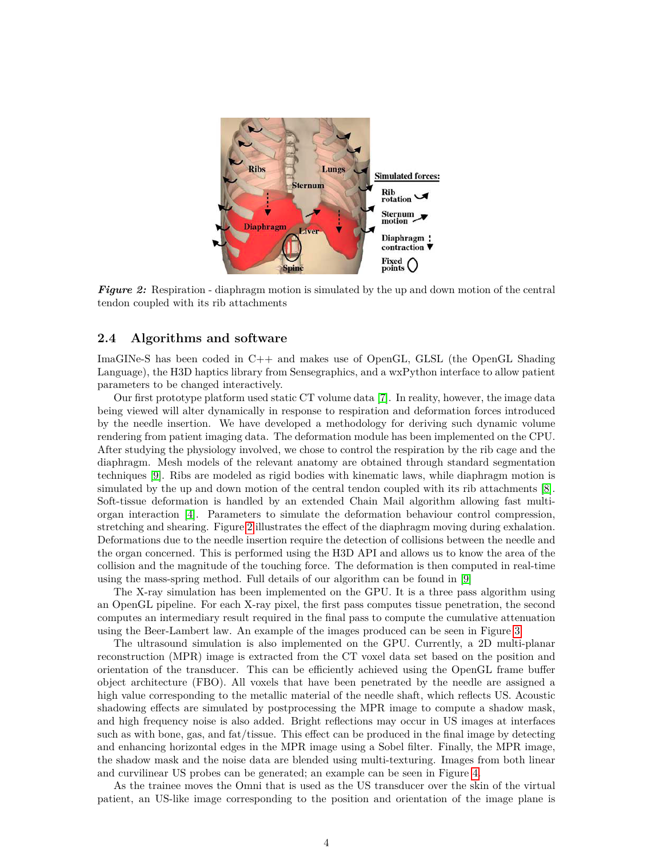<span id="page-4-0"></span>

*Figure 2:* Respiration - diaphragm motion is simulated by the up and down motion of the central tendon coupled with its rib attachments

#### **2.4 Algorithms and software**

ImaGINe-S has been coded in C++ and makes use of OpenGL, GLSL (the OpenGL Shading Language), the H3D haptics library from Sensegraphics, and a wxPython interface to allow patient parameters to be changed interactively.

Our first prototype platform used static CT volume data [\[7\]](#page-7-3). In reality, however, the image data being viewed will alter dynamically in response to respiration and deformation forces introduced by the needle insertion. We have developed a methodology for deriving such dynamic volume rendering from patient imaging data. The deformation module has been implemented on the CPU. After studying the physiology involved, we chose to control the respiration by the rib cage and the diaphragm. Mesh models of the relevant anatomy are obtained through standard segmentation techniques [\[9\]](#page-7-4). Ribs are modeled as rigid bodies with kinematic laws, while diaphragm motion is simulated by the up and down motion of the central tendon coupled with its rib attachments [\[8\]](#page-7-5). Soft-tissue deformation is handled by an extended Chain Mail algorithm allowing fast multiorgan interaction [\[4\]](#page-7-6). Parameters to simulate the deformation behaviour control compression, stretching and shearing. Figure [2](#page-4-0) illustrates the effect of the diaphragm moving during exhalation. Deformations due to the needle insertion require the detection of collisions between the needle and the organ concerned. This is performed using the H3D API and allows us to know the area of the collision and the magnitude of the touching force. The deformation is then computed in real-time using the mass-spring method. Full details of our algorithm can be found in [\[9\]](#page-7-4)

The X-ray simulation has been implemented on the GPU. It is a three pass algorithm using an OpenGL pipeline. For each X-ray pixel, the first pass computes tissue penetration, the second computes an intermediary result required in the final pass to compute the cumulative attenuation using the Beer-Lambert law. An example of the images produced can be seen in Figure [3.](#page-5-0)

The ultrasound simulation is also implemented on the GPU. Currently, a 2D multi-planar reconstruction (MPR) image is extracted from the CT voxel data set based on the position and orientation of the transducer. This can be efficiently achieved using the OpenGL frame buffer object architecture (FBO). All voxels that have been penetrated by the needle are assigned a high value corresponding to the metallic material of the needle shaft, which reflects US. Acoustic shadowing effects are simulated by postprocessing the MPR image to compute a shadow mask, and high frequency noise is also added. Bright reflections may occur in US images at interfaces such as with bone, gas, and fat/tissue. This effect can be produced in the final image by detecting and enhancing horizontal edges in the MPR image using a Sobel filter. Finally, the MPR image, the shadow mask and the noise data are blended using multi-texturing. Images from both linear and curvilinear US probes can be generated; an example can be seen in Figure [4.](#page-5-1)

As the trainee moves the Omni that is used as the US transducer over the skin of the virtual patient, an US-like image corresponding to the position and orientation of the image plane is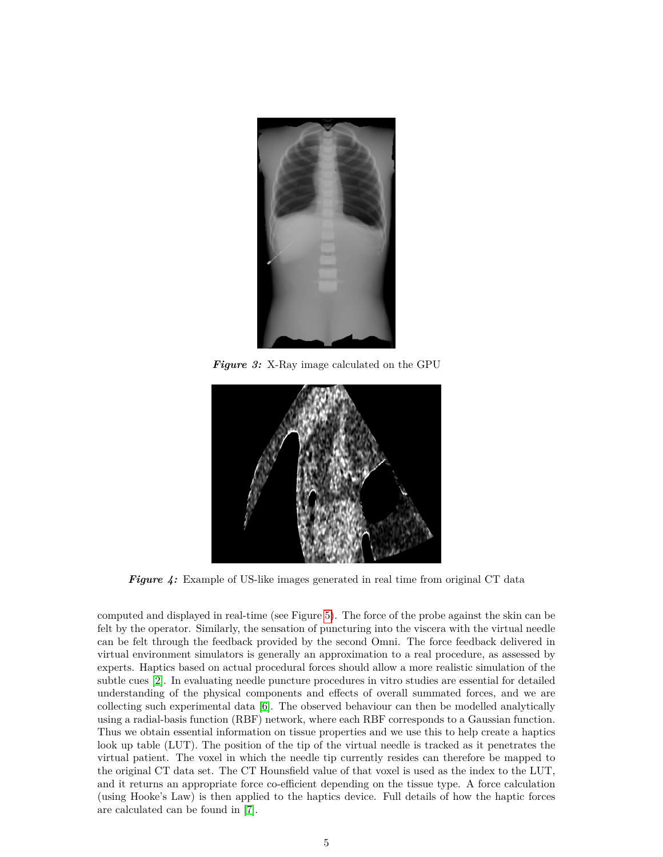<span id="page-5-0"></span>

*Figure 3:* X-Ray image calculated on the GPU

<span id="page-5-1"></span>

*Figure 4:* Example of US-like images generated in real time from original CT data

computed and displayed in real-time (see Figure [5\)](#page-6-0). The force of the probe against the skin can be felt by the operator. Similarly, the sensation of puncturing into the viscera with the virtual needle can be felt through the feedback provided by the second Omni. The force feedback delivered in virtual environment simulators is generally an approximation to a real procedure, as assessed by experts. Haptics based on actual procedural forces should allow a more realistic simulation of the subtle cues [\[2\]](#page-7-7). In evaluating needle puncture procedures in vitro studies are essential for detailed understanding of the physical components and effects of overall summated forces, and we are collecting such experimental data [\[6\]](#page-7-8). The observed behaviour can then be modelled analytically using a radial-basis function (RBF) network, where each RBF corresponds to a Gaussian function. Thus we obtain essential information on tissue properties and we use this to help create a haptics look up table (LUT). The position of the tip of the virtual needle is tracked as it penetrates the virtual patient. The voxel in which the needle tip currently resides can therefore be mapped to the original CT data set. The CT Hounsfield value of that voxel is used as the index to the LUT, and it returns an appropriate force co-efficient depending on the tissue type. A force calculation (using Hooke's Law) is then applied to the haptics device. Full details of how the haptic forces are calculated can be found in [\[7\]](#page-7-3).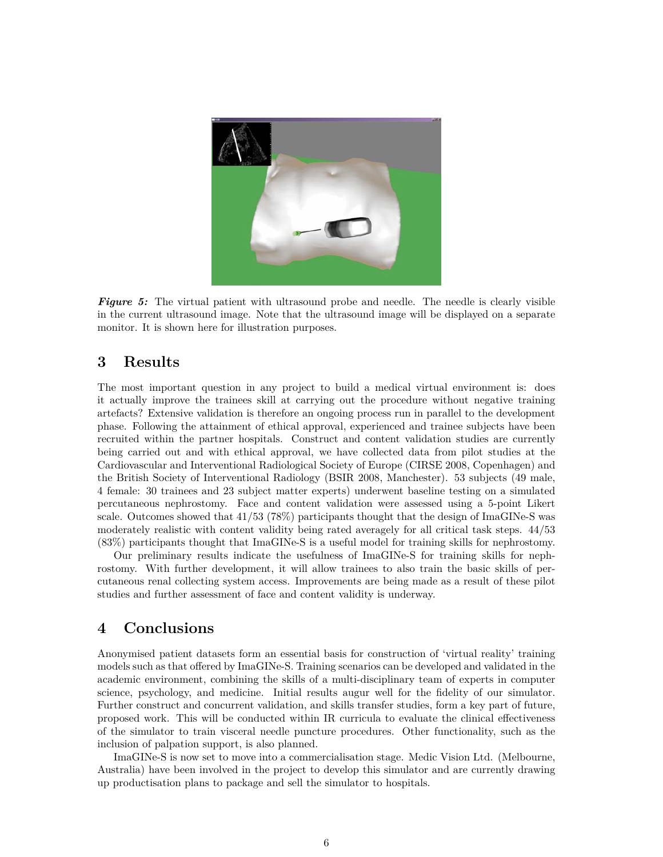<span id="page-6-0"></span>

**Figure 5:** The virtual patient with ultrasound probe and needle. The needle is clearly visible in the current ultrasound image. Note that the ultrasound image will be displayed on a separate monitor. It is shown here for illustration purposes.

## **3 Results**

The most important question in any project to build a medical virtual environment is: does it actually improve the trainees skill at carrying out the procedure without negative training artefacts? Extensive validation is therefore an ongoing process run in parallel to the development phase. Following the attainment of ethical approval, experienced and trainee subjects have been recruited within the partner hospitals. Construct and content validation studies are currently being carried out and with ethical approval, we have collected data from pilot studies at the Cardiovascular and Interventional Radiological Society of Europe (CIRSE 2008, Copenhagen) and the British Society of Interventional Radiology (BSIR 2008, Manchester). 53 subjects (49 male, 4 female: 30 trainees and 23 subject matter experts) underwent baseline testing on a simulated percutaneous nephrostomy. Face and content validation were assessed using a 5-point Likert scale. Outcomes showed that 41/53 (78%) participants thought that the design of ImaGINe-S was moderately realistic with content validity being rated averagely for all critical task steps. 44/53 (83%) participants thought that ImaGINe-S is a useful model for training skills for nephrostomy.

Our preliminary results indicate the usefulness of ImaGINe-S for training skills for nephrostomy. With further development, it will allow trainees to also train the basic skills of percutaneous renal collecting system access. Improvements are being made as a result of these pilot studies and further assessment of face and content validity is underway.

### **4 Conclusions**

Anonymised patient datasets form an essential basis for construction of 'virtual reality' training models such as that offered by ImaGINe-S. Training scenarios can be developed and validated in the academic environment, combining the skills of a multi-disciplinary team of experts in computer science, psychology, and medicine. Initial results augur well for the fidelity of our simulator. Further construct and concurrent validation, and skills transfer studies, form a key part of future, proposed work. This will be conducted within IR curricula to evaluate the clinical effectiveness of the simulator to train visceral needle puncture procedures. Other functionality, such as the inclusion of palpation support, is also planned.

ImaGINe-S is now set to move into a commercialisation stage. Medic Vision Ltd. (Melbourne, Australia) have been involved in the project to develop this simulator and are currently drawing up productisation plans to package and sell the simulator to hospitals.